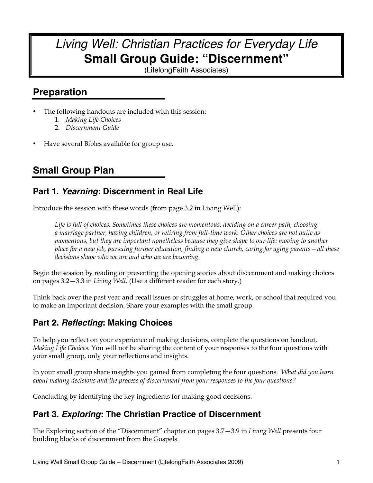## *Living Well: Christian Practices for Everyday Life* **Small Group Guide: "Discernment"**

(LifelongFaith Associates)

## **Preparation**

- The following handouts are included with this session:
	- 1. *Making Life Choices*
	- 2. *Discernment Guide*
- Have several Bibles available for group use.

## **Small Group Plan**

### **Part 1.** *Yearning***: Discernment in Real Life**

Introduce the session with these words (from page 3.2 in Living Well):

*Life is full of choices. Sometimes these choices are momentous: deciding on a career path, choosing a marriage partner, having children, or retiring from full-time work. Other choices are not quite as momentous, but they are important nonetheless because they give shape to our life: moving to another place for a new job, pursuing further education, finding a new church, caring for aging parents—all these decisions shape who we are and who we are becoming.*

Begin the session by reading or presenting the opening stories about discernment and making choices on pages 3.2—3.3 in *Living Well*. (Use a different reader for each story.)

Think back over the past year and recall issues or struggles at home, work, or school that required you to make an important decision. Share your examples with the small group.

## **Part 2.** *Reflecting***: Making Choices**

To help you reflect on your experience of making decisions, complete the questions on handout, *Making Life Choices*. You will not be sharing the content of your responses to the four questions with your small group, only your reflections and insights.

In your small group share insights you gained from completing the four questions. *What did you learn about making decisions and the process of discernment from your responses to the four questions?* 

Concluding by identifying the key ingredients for making good decisions.

### **Part 3.** *Exploring***: The Christian Practice of Discernment**

The Exploring section of the "Discernment" chapter on pages 3.7—3.9 in *Living Well* presents four building blocks of discernment from the Gospels.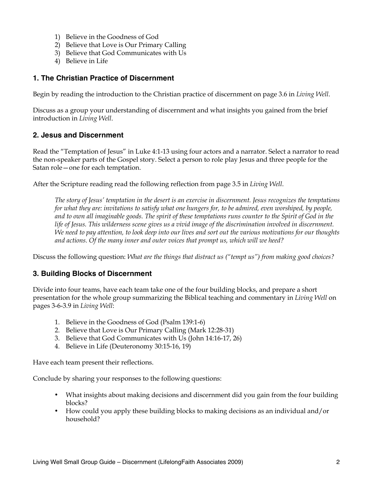- 1) Believe in the Goodness of God
- 2) Believe that Love is Our Primary Calling
- 3) Believe that God Communicates with Us
- 4) Believe in Life

#### **1. The Christian Practice of Discernment**

Begin by reading the introduction to the Christian practice of discernment on page 3.6 in *Living Well*.

Discuss as a group your understanding of discernment and what insights you gained from the brief introduction in *Living Well*.

#### **2. Jesus and Discernment**

Read the "Temptation of Jesus" in Luke 4:1-13 using four actors and a narrator. Select a narrator to read the non-speaker parts of the Gospel story. Select a person to role play Jesus and three people for the Satan role—one for each temptation.

After the Scripture reading read the following reflection from page 3.5 in *Living Well*.

*The story of Jesus' temptation in the desert is an exercise in discernment. Jesus recognizes the temptations for what they are: invitations to satisfy what one hungers for, to be admired, even worshiped, by people, and to own all imaginable goods. The spirit of these temptations runs counter to the Spirit of God in the life of Jesus. This wilderness scene gives us a vivid image of the discrimination involved in discernment. We need to pay attention, to look deep into our lives and sort out the various motivations for our thoughts and actions. Of the many inner and outer voices that prompt us, which will we heed?*

Discuss the following question: *What are the things that distract us ("tempt us") from making good choices?*

#### **3. Building Blocks of Discernment**

Divide into four teams, have each team take one of the four building blocks, and prepare a short presentation for the whole group summarizing the Biblical teaching and commentary in *Living Well* on pages 3-6-3.9 in *Living Well*:

- 1. Believe in the Goodness of God (Psalm 139:1-6)
- 2. Believe that Love is Our Primary Calling (Mark 12:28-31)
- 3. Believe that God Communicates with Us (John 14:16-17, 26)
- 4. Believe in Life (Deuteronomy 30:15-16, 19)

Have each team present their reflections.

Conclude by sharing your responses to the following questions:

- What insights about making decisions and discernment did you gain from the four building blocks?
- How could you apply these building blocks to making decisions as an individual and/or household?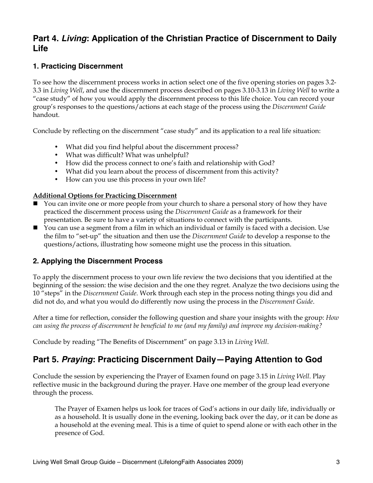## **Part 4.** *Living***: Application of the Christian Practice of Discernment to Daily Life**

#### **1. Practicing Discernment**

To see how the discernment process works in action select one of the five opening stories on pages 3.2- 3.3 in *Living Well*, and use the discernment process described on pages 3.10-3.13 in *Living Well* to write a "case study" of how you would apply the discernment process to this life choice. You can record your group's responses to the questions/actions at each stage of the process using the *Discernment Guide* handout.

Conclude by reflecting on the discernment "case study" and its application to a real life situation:

- What did you find helpful about the discernment process?
- What was difficult? What was unhelpful?
- How did the process connect to one's faith and relationship with God?
- What did you learn about the process of discernment from this activity?
- How can you use this process in your own life?

#### **Additional Options for Practicing Discernment**

- You can invite one or more people from your church to share a personal story of how they have practiced the discernment process using the *Discernment Guide* as a framework for their presentation. Be sure to have a variety of situations to connect with the participants.
- You can use a segment from a film in which an individual or family is faced with a decision. Use the film to "set-up" the situation and then use the *Discernment Guide* to develop a response to the questions/actions, illustrating how someone might use the process in this situation.

#### **2. Applying the Discernment Process**

To apply the discernment process to your own life review the two decisions that you identified at the beginning of the session: the wise decision and the one they regret. Analyze the two decisions using the 10 "steps" in the *Discernment Guide*. Work through each step in the process noting things you did and did not do, and what you would do differently now using the process in the *Discernment Guide*.

After a time for reflection, consider the following question and share your insights with the group: *How can using the process of discernment be beneficial to me (and my family) and improve my decision-making?* 

Conclude by reading "The Benefits of Discernment" on page 3.13 in *Living Well*.

## **Part 5.** *Praying***: Practicing Discernment Daily—Paying Attention to God**

Conclude the session by experiencing the Prayer of Examen found on page 3.15 in *Living Well*. Play reflective music in the background during the prayer. Have one member of the group lead everyone through the process.

The Prayer of Examen helps us look for traces of God's actions in our daily life, individually or as a household. It is usually done in the evening, looking back over the day, or it can be done as a household at the evening meal. This is a time of quiet to spend alone or with each other in the presence of God.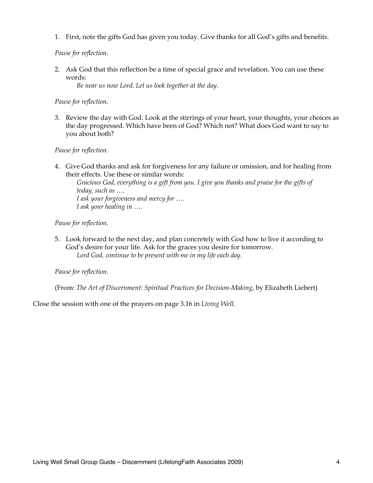1. First, note the gifts God has given you today. Give thanks for all God's gifts and benefits.

*Pause for reflection.* 

2. Ask God that this reflection be a time of special grace and revelation. You can use these words:

*Be near us now Lord. Let us look together at the day*.

*Pause for reflection.*

3. Review the day with God. Look at the stirrings of your heart, your thoughts, your choices as the day progressed. Which have been of God? Which not? What does God want to say to you about both?

*Pause for reflection.*

4. Give God thanks and ask for forgiveness for any failure or omission, and for healing from their effects. Use these or similar words:

*Gracious God, everything is a gift from you. I give you thanks and praise for the gifts of today, such as …. I ask your forgiveness and mercy for …. I ask your healing in ….*

*Pause for reflection.*

5. Look forward to the next day, and plan concretely with God how to live it according to God's desire for your life. Ask for the graces you desire for tomorrow. *Lord God, continue to be present with me in my life each day.*

*Pause for reflection.*

(From: *The Art of Discernment: Spiritual Practices for Decision-Making*, by Elizabeth Liebert)

Close the session with one of the prayers on page 3.16 in *Living Well*.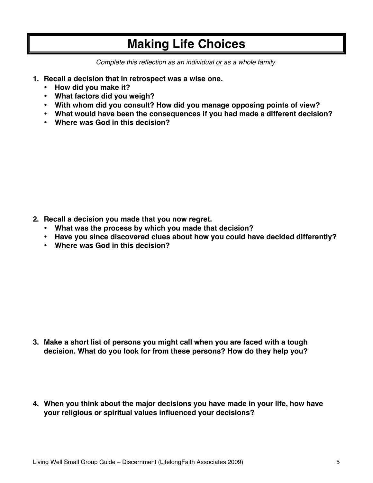## **Making Life Choices**

*Complete this reflection as an individual or as a whole family.*

- **1. Recall a decision that in retrospect was a wise one.** 
	- **How did you make it?**
	- **What factors did you weigh?**
	- **With whom did you consult? How did you manage opposing points of view?**
	- **What would have been the consequences if you had made a different decision?**
	- **Where was God in this decision?**

- **2. Recall a decision you made that you now regret.** 
	- **What was the process by which you made that decision?**
	- **Have you since discovered clues about how you could have decided differently?**
	- **Where was God in this decision?**

- **3. Make a short list of persons you might call when you are faced with a tough decision. What do you look for from these persons? How do they help you?**
- **4. When you think about the major decisions you have made in your life, how have your religious or spiritual values influenced your decisions?**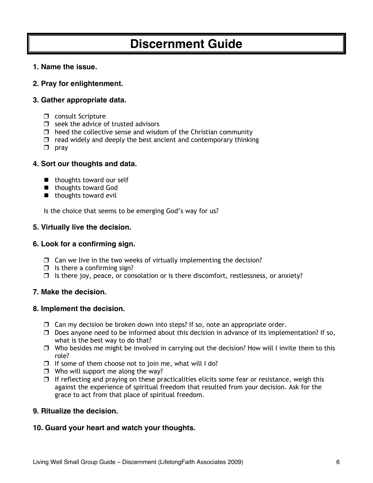# **Discernment Guide**

#### **1. Name the issue.**

#### **2. Pray for enlightenment.**

#### **3. Gather appropriate data.**

- $\Box$  consult Scripture
- $\Box$  seek the advice of trusted advisors
- $\Box$  heed the collective sense and wisdom of the Christian community
- $\Box$  read widely and deeply the best ancient and contemporary thinking
- $\Box$  pray

#### **4. Sort our thoughts and data.**

- $\blacksquare$  thoughts toward our self
- thoughts toward God
- $\blacksquare$  thoughts toward evil

Is the choice that seems to be emerging God's way for us?

#### **5. Virtually live the decision.**

#### **6. Look for a confirming sign.**

- $\Box$  Can we live in the two weeks of virtually implementing the decision?
- $\Box$  Is there a confirming sign?
- $\Box$  Is there joy, peace, or consolation or is there discomfort, restlessness, or anxiety?

#### **7. Make the decision.**

#### **8. Implement the decision.**

- $\Box$  Can my decision be broken down into steps? If so, note an appropriate order.
- $\Box$  Does anyone need to be informed about this decision in advance of its implementation? If so, what is the best way to do that?
- $\Box$  Who besides me might be involved in carrying out the decision? How will I invite them to this role?
- $\Box$  If some of them choose not to join me, what will I do?
- $\Box$  Who will support me along the way?
- $\Box$  If reflecting and praying on these practicalities elicits some fear or resistance, weigh this against the experience of spiritual freedom that resulted from your decision. Ask for the grace to act from that place of spiritual freedom.

#### **9. Ritualize the decision.**

#### **10. Guard your heart and watch your thoughts.**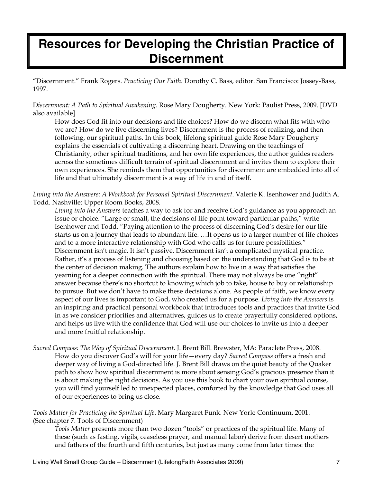# **Resources for Developing the Christian Practice of Discernment**

"Discernment." Frank Rogers. *Practicing Our Faith*. Dorothy C. Bass, editor. San Francisco: Jossey-Bass, 1997.

D*iscernment: A Path to Spiritual Awakening*. Rose Mary Dougherty. New York: Paulist Press, 2009. [DVD also available]

How does God fit into our decisions and life choices? How do we discern what fits with who we are? How do we live discerning lives? Discernment is the process of realizing, and then following, our spiritual paths. In this book, lifelong spiritual guide Rose Mary Dougherty explains the essentials of cultivating a discerning heart. Drawing on the teachings of Christianity, other spiritual traditions, and her own life experiences, the author guides readers across the sometimes difficult terrain of spiritual discernment and invites them to explore their own experiences. She reminds them that opportunities for discernment are embedded into all of life and that ultimately discernment is a way of life in and of itself.

#### *Living into the Answers: A Workbook for Personal Spiritual Discernment*. Valerie K. Isenhower and Judith A. Todd. Nashville: Upper Room Books, 2008.

*Living into the Answers* teaches a way to ask for and receive God's guidance as you approach an issue or choice. "Large or small, the decisions of life point toward particular paths," write Isenhower and Todd. "Paying attention to the process of discerning God's desire for our life starts us on a journey that leads to abundant life. …It opens us to a larger number of life choices and to a more interactive relationship with God who calls us for future possibilities." Discernment isn't magic. It isn't passive. Discernment isn't a complicated mystical practice. Rather, it's a process of listening and choosing based on the understanding that God is to be at the center of decision making. The authors explain how to live in a way that satisfies the yearning for a deeper connection with the spiritual. There may not always be one "right" answer because there's no shortcut to knowing which job to take, house to buy or relationship to pursue. But we don't have to make these decisions alone. As people of faith, we know every aspect of our lives is important to God, who created us for a purpose. *Living into the Answers* is an inspiring and practical personal workbook that introduces tools and practices that invite God in as we consider priorities and alternatives, guides us to create prayerfully considered options, and helps us live with the confidence that God will use our choices to invite us into a deeper and more fruitful relationship.

*Sacred Compass: The Way of Spiritual Discernment*. J. Brent Bill. Brewster, MA: Paraclete Press, 2008. How do you discover God's will for your life—every day? *Sacred Compass* offers a fresh and deeper way of living a God-directed life. J. Brent Bill draws on the quiet beauty of the Quaker path to show how spiritual discernment is more about sensing God's gracious presence than it is about making the right decisions. As you use this book to chart your own spiritual course, you will find yourself led to unexpected places, comforted by the knowledge that God uses all of our experiences to bring us close.

#### *Tools Matter for Practicing the Spiritual Life*. Mary Margaret Funk. New York: Continuum, 2001. (See chapter 7. Tools of Discernment)

*Tools Matter* presents more than two dozen "tools" or practices of the spiritual life. Many of these (such as fasting, vigils, ceaseless prayer, and manual labor) derive from desert mothers and fathers of the fourth and fifth centuries, but just as many come from later times: the